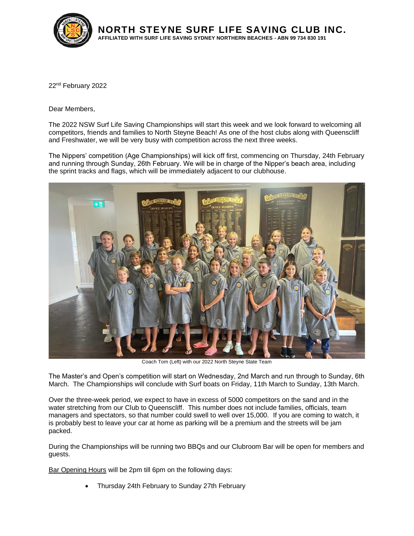

**NORTH STEYNE SURF LIFE SAVING CLUB INC. AFFILIATED WITH SURF LIFE SAVING SYDNEY NORTHERN BEACHES - ABN 99 734 830 191**

22nd February 2022

Dear Members,

The 2022 NSW Surf Life Saving Championships will start this week and we look forward to welcoming all competitors, friends and families to North Steyne Beach! As one of the host clubs along with Queenscliff and Freshwater, we will be very busy with competition across the next three weeks.

The Nippers' competition (Age Championships) will kick off first, commencing on Thursday, 24th February and running through Sunday, 26th February. We will be in charge of the Nipper's beach area, including the sprint tracks and flags, which will be immediately adjacent to our clubhouse.



Coach Tom (Left) with our 2022 North Steyne State Team

The Master's and Open's competition will start on Wednesday, 2nd March and run through to Sunday, 6th March. The Championships will conclude with Surf boats on Friday, 11th March to Sunday, 13th March.

Over the three-week period, we expect to have in excess of 5000 competitors on the sand and in the water stretching from our Club to Queenscliff. This number does not include families, officials, team managers and spectators, so that number could swell to well over 15,000. If you are coming to watch, it is probably best to leave your car at home as parking will be a premium and the streets will be jam packed.

During the Championships will be running two BBQs and our Clubroom Bar will be open for members and guests.

Bar Opening Hours will be 2pm till 6pm on the following days:

• Thursday 24th February to Sunday 27th February